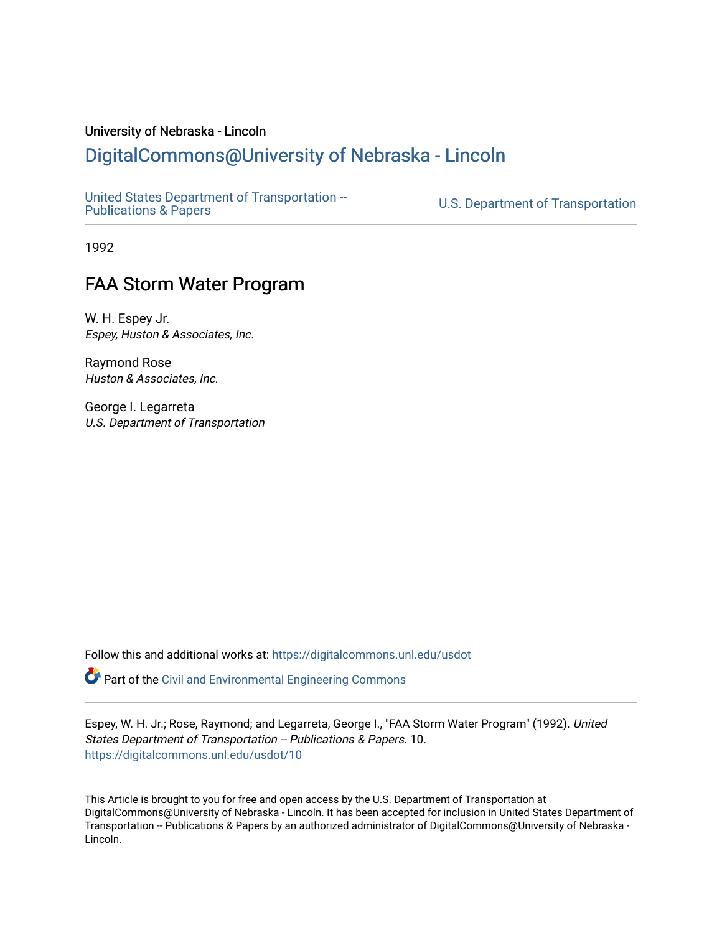### University of Nebraska - Lincoln

## [DigitalCommons@University of Nebraska - Lincoln](https://digitalcommons.unl.edu/)

[United States Department of Transportation --](https://digitalcommons.unl.edu/usdot)<br>Publications & Papers

U.S. Department of Transportation

1992

# FAA Storm Water Program

W. H. Espey Jr. Espey, Huston & Associates, Inc.

Raymond Rose Huston & Associates, Inc.

George I. Legarreta U.S. Department of Transportation

Follow this and additional works at: [https://digitalcommons.unl.edu/usdot](https://digitalcommons.unl.edu/usdot?utm_source=digitalcommons.unl.edu%2Fusdot%2F10&utm_medium=PDF&utm_campaign=PDFCoverPages) 

**P** Part of the [Civil and Environmental Engineering Commons](http://network.bepress.com/hgg/discipline/251?utm_source=digitalcommons.unl.edu%2Fusdot%2F10&utm_medium=PDF&utm_campaign=PDFCoverPages)

Espey, W. H. Jr.; Rose, Raymond; and Legarreta, George I., "FAA Storm Water Program" (1992). United States Department of Transportation -- Publications & Papers. 10. [https://digitalcommons.unl.edu/usdot/10](https://digitalcommons.unl.edu/usdot/10?utm_source=digitalcommons.unl.edu%2Fusdot%2F10&utm_medium=PDF&utm_campaign=PDFCoverPages)

This Article is brought to you for free and open access by the U.S. Department of Transportation at DigitalCommons@University of Nebraska - Lincoln. It has been accepted for inclusion in United States Department of Transportation -- Publications & Papers by an authorized administrator of DigitalCommons@University of Nebraska -Lincoln.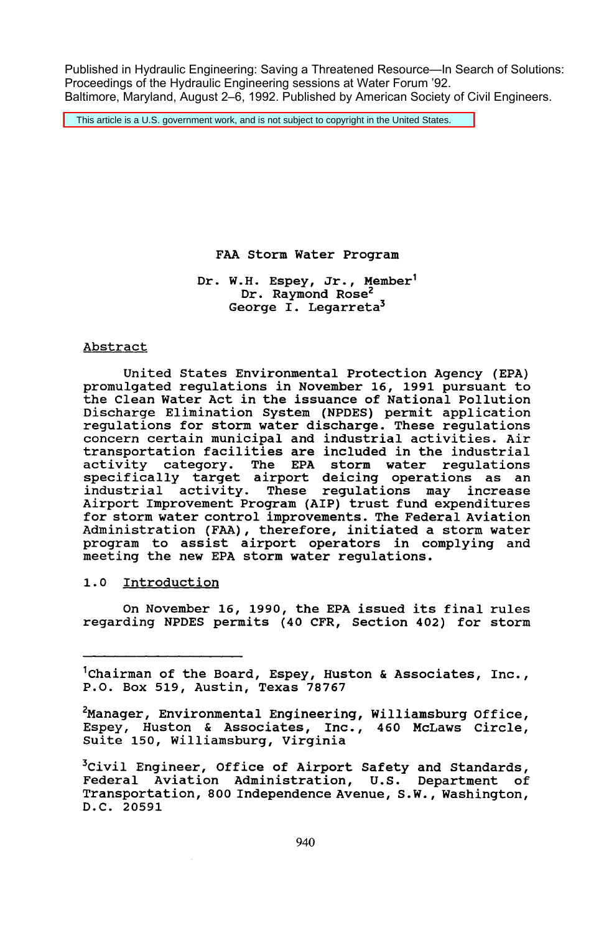Published in Hydraulic Engineering: Saving a Threatened Resource—In Search of Solutions: Proceedings of the Hydraulic Engineering sessions at Water Forum '92. Baltimore, Maryland, August 2–6, 1992. Published by American Society of Civil Engineers.

This article is a U.S. government work, and is not subject to copyright in the United States.

FAA storm Water Program

Dr. W.H. Espey, Jr., Member' Dr. Raymond Rose<sup>2</sup> George I. Legarreta3

#### Abstract

United states Environmental Protection Agency (EPA) promulgated regulations in November 16, 1991 pursuant to the Clean Water Act in the issuance of National Pollution Discharge Elimination System (NPDES) permit application regulations for storm water discharge. These regulations concern certain municipal and industrial activities. Air transportation facilities are included in the industrial activity category. The EPA storm water regulations specifically target airport deicing operations as an industrial activity. These regulations may increase Airport Improvement Program (AlP) trust fund expenditures for storm water control improvements. The Federal Aviation Administration (FAA), therefore, initiated a storm water program to assist airport operators in complying and meeting the new EPA storm water regulations.

1.0 Introduction

On November 16, 1990, the EPA issued its final rules regarding NPDES permits (40 CFR, section 402) for storm

 $^1$ Chairman of the Board, Espey, Huston & Associates, Inc., P.O. Box 519, Austin, Texas 78767

<sup>2</sup>Manager, Environmental Engineering, Williamsburg Office, Espey, Huston & Associates, Inc., 460 McLaws Circle, suite 150, Williamsburg, virginia

<sup>3</sup>Civil Engineer, Office of Airport Safety and Standards, Federal Aviation Administration, U.s. Department of Transportation, 800 Independence Avenue, S.W., Washington, D.C. 20591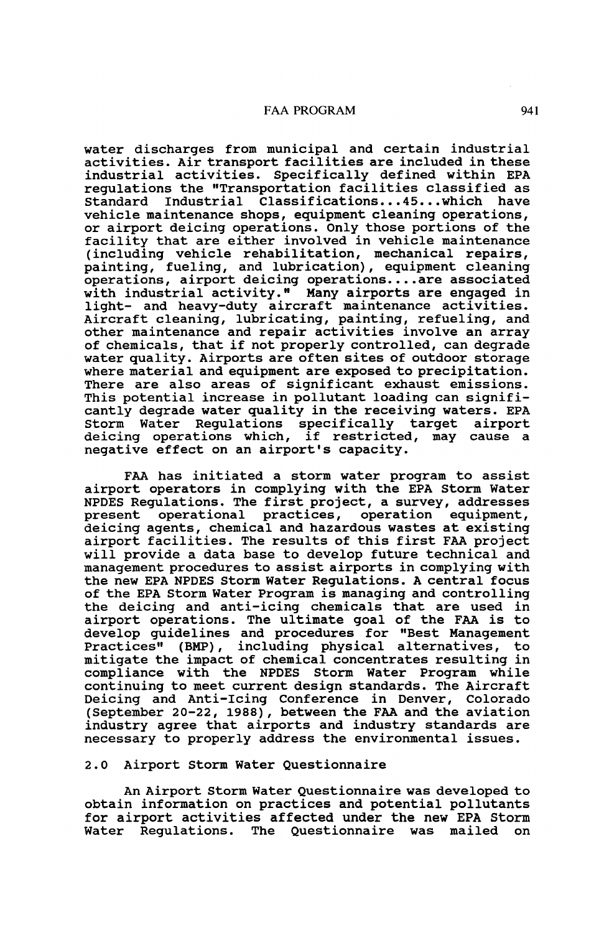#### FAA PROGRAM 941

water discharges from municipal and certain industrial activities. Air transport facilities are included in these industrial activities. Specifically defined within EPA regulations the "Transportation facilities classified as Standard Industrial Classifications...45...which have vehicle maintenance shops, equipment cleaning operations, or airport deicing operations. Only those portions of the facility that are either involved in vehicle maintenance (including vehicle rehabilitation, mechanical repairs, painting, fueling, and lubrication), equipment cleaning operations, airport deicing operations ••.. are associated with industrial activity." Many airports are engaged in light- and heavy-duty aircraft maintenance activities. Aircraft cleaning, lubricating, painting, refueling, and other maintenance and repair activities involve an array of chemicals, that if not properly controlled, can degrade water quality. Airports are often sites of outdoor storage where material and equipment are exposed to precipitation. There are also areas of significant exhaust emissions. This potential increase in pollutant loading can significantly degrade water quality in the receiving waters. EPA Storm Water Regulations specifically target airport deicing operations which, if restricted, may cause a negative effect on an airport's capacity.

FAA has initiated a storm water program to assist airport operators in complying with the EPA Storm Water NPDES Regulations. The first project, a survey, addresses present operational practices, operation equipment, deicing agents, chemical and hazardous wastes at existing airport facilities. The results of this first FAA project will provide a data base to develop future technical and management procedures to assist airports in complying with the new EPA NPDES Storm Water Regulations. A central focus of the EPA Storm Water Program is managing and controlling the deicing and anti-icing chemicals that are used in airport operations. The ultimate goal of the FAA is to develop guidelines and procedures for "Best Management Practices" (BMP) , including physical alternatives, to mitigate the impact of chemical concentrates resulting in compliance with the NPDES Storm Water Program while continuing to meet current design standards. The Aircraft Deicing and Anti-Icing Conference in Denver, Colorado (September 20-22,1988), between the FAA and the aviation industry agree that airports and industry standards are necessary to properly address the environmental issues.

#### 2.0 Airport Storm Water Questionnaire

An Airport Storm Water Questionnaire was developed to obtain information on practices and potential pollutants for airport activities affected under the new EPA Storm Water Regulations. The Questionnaire was mailed on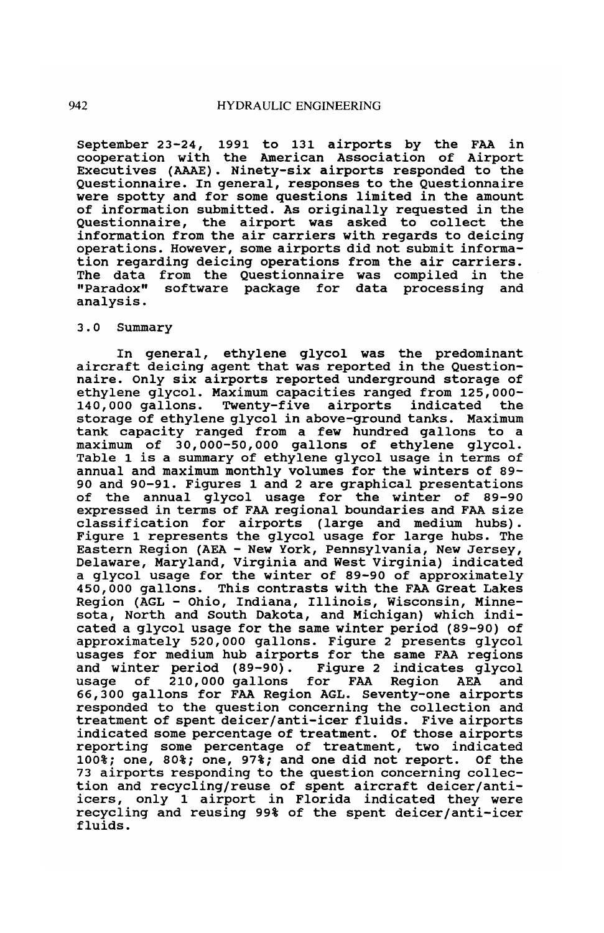September 23-24, 1991 to 131 airports by the FAA in cooperation with the American Association of Airport Executives (AAAE). Ninety-six airports responded to the Questionnaire. In general, responses to the Questionnaire were spotty and for some questions limited in the amount of information submitted. As originally requested in the Questionnaire, the airport was asked to collect the information from the air carriers with regards to deicing operations. However, some airports did not submit information regarding deicing operations from the air carriers. The data from the Questionnaire was compiled in the "Paradox" software package for data processing and analysis.

#### 3.0 Summary

In general, ethylene glycol was the predominant aircraft deicing agent that was reported in the Questionnaire. Only six airports reported underground storage of ethylene glycol. Maximum capacities ranged from 125,000- 140,000 gallons. Twenty-five airports indicated storage of ethylene glycol in above-ground tanks. Maximum tank capacity ranged from a few hundred gallons to a maximum of 30,000-50,000 gallons of ethylene glycol. Table 1 is a summary of ethylene glycol usage in terms of annual and maximum monthly volumes for the winters of 89- 90 and 90-91. Figures 1 and 2 are graphical presentations of the annual glycol usage for the winter of 89-90 expressed in terms of FAA regional boundaries and FAA size classification for airports (large and medium hubs). Figure 1 represents the glycol usage for large hubs. The Eastern Region (AEA - New York, Pennsylvania, New Jersey, Delaware, Maryland, Virginia and West Virginia) indicated a glycol usage for the winter of 89-90 of approximately 450,000 gallons. This contrasts with the FAA Great Lakes Region (AGL - Ohio, Indiana, Illinois, Wisconsin, Minnesota, North and South Dakota, and Michigan) which indicated a glycol usage for the same winter period (89-90) of approximately 520,000 gallons. Figure 2 presents glycol usages for medium hub airports for the same FAA regions and winter period (89-90). Figure 2 indicates glycol usage of 210,000 gallons for FAA Region AEA and 66,300 gallons for FAA Region AGL. Seventy-one airports responded to the question concerning the collection and treatment of spent deicer/anti-icer fluids. Five airports indicated some percentage of treatment. Of those airports reporting some percentage of treatment, two indicated 100%; one, 80%; one, 97%; and one did not report. Of the 73 airports responding to the question concerning collection and recycling/reuse of spent aircraft deicer/antiicers, only 1 airport in Florida indicated they were recycling and reusing 99% of the spent deicer/anti-icer fluids.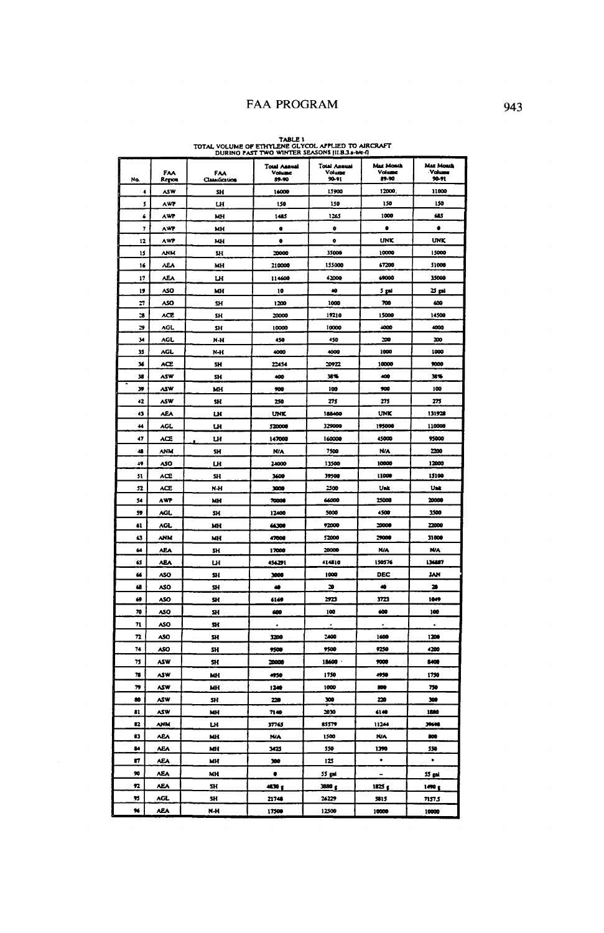### FAA PROGRAM

TABLE 1<br>TOTAL VOLUME OF ETHYLER GLYCOL APPLIED TO AIRCRAFT

| Na.           | FAA<br>Repor | FAA<br>Classification | <b>Total Assust</b><br><b>Volume</b><br>89.90 | Total Annual<br>Volum<br>90-91 | Max Month<br>Voism<br>89-90 | <b>Max Month</b><br>Volume<br>$90 - 91$ |
|---------------|--------------|-----------------------|-----------------------------------------------|--------------------------------|-----------------------------|-----------------------------------------|
| ٠             | <b>ASW</b>   | SH                    | 16000                                         | 15900                          | 12000                       | 11000                                   |
| s             | AWP          | LН                    | 150                                           | 150                            | 150                         | 150                                     |
| 6             | AWP          | MH                    | 1485                                          | 1265                           | 1000                        | 685                                     |
| 7             | AWZ          | MH                    | ¢                                             | ò                              | $\bullet$                   | ė                                       |
| 12            | AWP          | MН                    | ٠                                             | $\bullet$                      | <b>LINK</b>                 | <b>UNK</b>                              |
| 15            | <b>ANM</b>   | SН                    | 20000                                         | 35000                          | 10000                       | 15000                                   |
| 16            | ۸Ė٨          | MH                    | 210000                                        | 155000                         | 67200                       | 51000                                   |
| $\mathbf{17}$ | ٨E٨          | LH                    | 114600                                        | 62000                          | 69000                       | 35000                                   |
| 19            | <b>ASO</b>   | MH                    | 10                                            | 40                             | 5 pai                       | 25 pH                                   |
| 27            | ASO          | SH                    | 1200                                          | 1000                           | 700                         | 600                                     |
| 28            | <b>ACE</b>   | SH <sub>1</sub>       | 20000                                         | 19210                          | 15000                       | 14500                                   |
| 29            | AGL          | SH                    | 10000                                         | 10000                          | 4000                        | 1000                                    |
| 34            | AGL.         | N-H                   | 450                                           | 450                            | 200                         | 200                                     |
| 35            | AGL          | N-H                   | 4000                                          | 4000                           | 1000                        | 1000                                    |
| 36            | <b>ACE</b>   | SH                    | 22454                                         | 10922                          | 10000                       | 9000                                    |
| 38            | ASW          | SH                    | 400                                           | 38%                            | 400                         | 38%                                     |
| 39            | <b>ASW</b>   | MH                    | 900                                           | 100                            | 900                         | 100                                     |
| 42            | ASW          | sн                    | 250                                           | 275                            | 275                         | zn                                      |
| 43            | <b>AEA</b>   | u                     | UNK                                           | 188400                         | UNK                         | 131928                                  |
| 44            | AGL          | ш                     | \$20000                                       | 329000                         | 195000                      | 110000                                  |
| 47            | <b>ACE</b>   | LН                    | 147000                                        | 160000                         | 45000                       | 95000                                   |
| 48            | ANM          | SH                    | <b>N/A</b>                                    | 7500                           | <b>N/A</b>                  | 2200                                    |
| 49            | ASO          | LН                    | 21000                                         | 13500                          | 10000                       | 12000                                   |
| 51            | ACE          | SH                    | 3600                                          | 39500                          | 11000                       | 15100                                   |
| 52            | <b>ACE</b>   | $N-H$                 | 1000                                          | 2500                           | Unk                         | Usk                                     |
| 54            | AWP          | MH                    | 70000                                         | 66000                          | 25000                       | 20000                                   |
| 59            | AGL.         | SH                    | 12400                                         | 5000                           | 4500                        | 3500                                    |
| 61            | AGL.         | MН                    | 66300                                         | 92000                          | 20000                       | 22000                                   |
| 63            | ANM          | MH                    | 47000                                         | 52000                          | 29000                       | 31000                                   |
| 64            | <b>AEA</b>   | sн                    | 17000                                         | 20000                          | N/A                         | N/A                                     |
| 65            | ۸E۸          | Щ                     | 456291                                        | 414810                         | 150576                      | 136887                                  |
| 66            | <b>ASO</b>   | SH                    | 3000                                          | 1009                           | DEC                         | <b>JAN</b>                              |
| 68            | ASO          | SH                    | 49                                            | ×                              | 40                          | 20                                      |
| 69            | ۸SO          | SH                    | 6169                                          | 2923                           | 3723                        | 1049                                    |
| 70            | ASO          | sн                    | 400                                           | 100                            | 600                         | 100                                     |
| 71            | ASO          | SH.                   |                                               |                                |                             |                                         |
| 72            | ASO          | SН                    | 1200                                          | 2400                           | 1600                        | 1206                                    |
| 74            | <b>ASO</b>   | \$H                   | 9500                                          | 9500                           | 9250                        | 4200                                    |
| 73            | ASW          | SH                    | 20000                                         | 18600                          | 9000                        | 5400                                    |
| 78            | ASW          | MH                    | 4950                                          | 1750                           | 4950                        | 1750                                    |
| 79            | ASW          | MH                    | 1240                                          | 1000                           | 500                         | 750                                     |
| 80            | ۸ŚW          | SH                    | 220                                           | 300                            | 220                         | 300                                     |
| $\mathbf{a}$  | <b>ASW</b>   | MH                    | 7140                                          | 2030                           | 6140                        | 1880                                    |
| 12            | <b>ANM</b>   | LН                    | 37765                                         | 85579                          | 11244                       | 39690                                   |
| ø             | <b>ABA</b>   | MH                    | NW                                            | 1500                           | <b>N/A</b>                  | 500                                     |
| 84            | ٨Ε٨          | MH                    | 3425                                          | 550                            | 1390                        | 550                                     |
| 87            | ۸E۸          | МH                    | 300                                           | 125                            | $\bullet$                   | $\bullet$                               |
| 90            | <b>AEA</b>   | MH                    | ٠                                             | 55 gal                         |                             | 55 pri                                  |
| 92            | <b>AEA</b>   | SH.                   | والكه                                         | 380 g                          | 1825 g                      | $1490 \text{ g}$                        |
| 95            | AGL          | SH                    | 21748                                         | 26229                          | 5815                        | 7157.5                                  |
| ×             | <b>AEA</b>   | N-H                   | 17500                                         | 12500                          | 10000                       | 10000                                   |
|               |              |                       |                                               |                                |                             |                                         |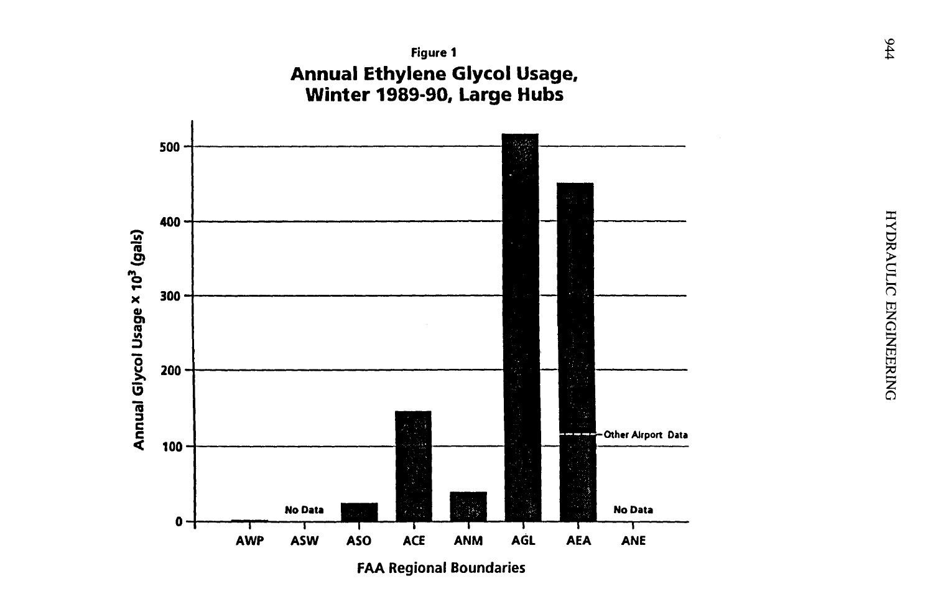

**FAA Regional Boundaries**